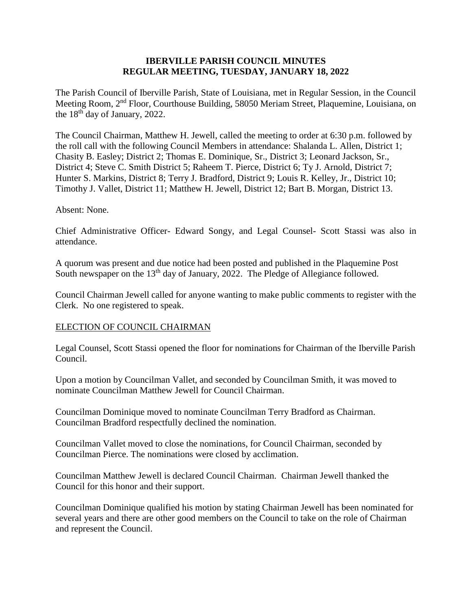### **IBERVILLE PARISH COUNCIL MINUTES REGULAR MEETING, TUESDAY, JANUARY 18, 2022**

The Parish Council of Iberville Parish, State of Louisiana, met in Regular Session, in the Council Meeting Room, 2nd Floor, Courthouse Building, 58050 Meriam Street, Plaquemine, Louisiana, on the 18th day of January, 2022.

The Council Chairman, Matthew H. Jewell, called the meeting to order at 6:30 p.m. followed by the roll call with the following Council Members in attendance: Shalanda L. Allen, District 1; Chasity B. Easley; District 2; Thomas E. Dominique, Sr., District 3; Leonard Jackson, Sr., District 4; Steve C. Smith District 5; Raheem T. Pierce, District 6; Ty J. Arnold, District 7; Hunter S. Markins, District 8; Terry J. Bradford, District 9; Louis R. Kelley, Jr., District 10; Timothy J. Vallet, District 11; Matthew H. Jewell, District 12; Bart B. Morgan, District 13.

#### Absent: None.

Chief Administrative Officer- Edward Songy, and Legal Counsel- Scott Stassi was also in attendance.

A quorum was present and due notice had been posted and published in the Plaquemine Post South newspaper on the 13<sup>th</sup> day of January, 2022. The Pledge of Allegiance followed.

Council Chairman Jewell called for anyone wanting to make public comments to register with the Clerk. No one registered to speak.

### ELECTION OF COUNCIL CHAIRMAN

Legal Counsel, Scott Stassi opened the floor for nominations for Chairman of the Iberville Parish Council.

Upon a motion by Councilman Vallet, and seconded by Councilman Smith, it was moved to nominate Councilman Matthew Jewell for Council Chairman.

Councilman Dominique moved to nominate Councilman Terry Bradford as Chairman. Councilman Bradford respectfully declined the nomination.

Councilman Vallet moved to close the nominations, for Council Chairman, seconded by Councilman Pierce. The nominations were closed by acclimation.

Councilman Matthew Jewell is declared Council Chairman. Chairman Jewell thanked the Council for this honor and their support.

Councilman Dominique qualified his motion by stating Chairman Jewell has been nominated for several years and there are other good members on the Council to take on the role of Chairman and represent the Council.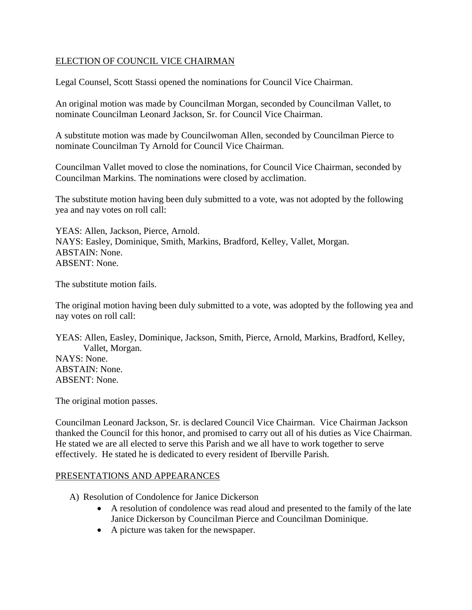## ELECTION OF COUNCIL VICE CHAIRMAN

Legal Counsel, Scott Stassi opened the nominations for Council Vice Chairman.

An original motion was made by Councilman Morgan, seconded by Councilman Vallet, to nominate Councilman Leonard Jackson, Sr. for Council Vice Chairman.

A substitute motion was made by Councilwoman Allen, seconded by Councilman Pierce to nominate Councilman Ty Arnold for Council Vice Chairman.

Councilman Vallet moved to close the nominations, for Council Vice Chairman, seconded by Councilman Markins. The nominations were closed by acclimation.

The substitute motion having been duly submitted to a vote, was not adopted by the following yea and nay votes on roll call:

YEAS: Allen, Jackson, Pierce, Arnold. NAYS: Easley, Dominique, Smith, Markins, Bradford, Kelley, Vallet, Morgan. ABSTAIN: None. ABSENT: None.

The substitute motion fails.

The original motion having been duly submitted to a vote, was adopted by the following yea and nay votes on roll call:

YEAS: Allen, Easley, Dominique, Jackson, Smith, Pierce, Arnold, Markins, Bradford, Kelley, Vallet, Morgan. NAYS: None. ABSTAIN: None. ABSENT: None.

The original motion passes.

Councilman Leonard Jackson, Sr. is declared Council Vice Chairman. Vice Chairman Jackson thanked the Council for this honor, and promised to carry out all of his duties as Vice Chairman. He stated we are all elected to serve this Parish and we all have to work together to serve effectively. He stated he is dedicated to every resident of Iberville Parish.

### PRESENTATIONS AND APPEARANCES

- A) Resolution of Condolence for Janice Dickerson
	- A resolution of condolence was read aloud and presented to the family of the late Janice Dickerson by Councilman Pierce and Councilman Dominique.
	- A picture was taken for the newspaper.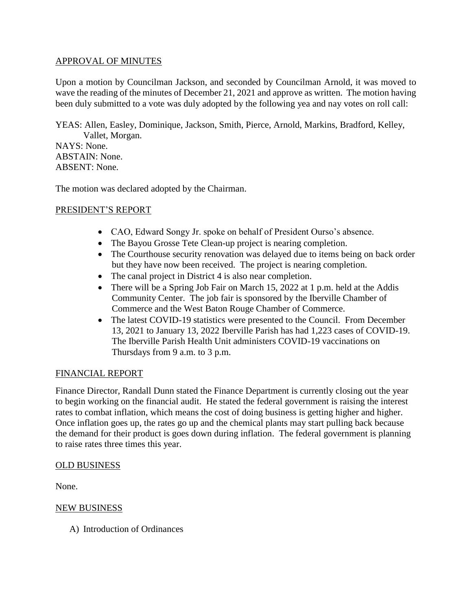## APPROVAL OF MINUTES

Upon a motion by Councilman Jackson, and seconded by Councilman Arnold, it was moved to wave the reading of the minutes of December 21, 2021 and approve as written. The motion having been duly submitted to a vote was duly adopted by the following yea and nay votes on roll call:

YEAS: Allen, Easley, Dominique, Jackson, Smith, Pierce, Arnold, Markins, Bradford, Kelley, Vallet, Morgan.

NAYS: None. ABSTAIN: None. ABSENT: None.

The motion was declared adopted by the Chairman.

## PRESIDENT'S REPORT

- CAO, Edward Songy Jr. spoke on behalf of President Ourso's absence.
- The Bayou Grosse Tete Clean-up project is nearing completion.
- The Courthouse security renovation was delayed due to items being on back order but they have now been received. The project is nearing completion.
- The canal project in District 4 is also near completion.
- There will be a Spring Job Fair on March 15, 2022 at 1 p.m. held at the Addis Community Center. The job fair is sponsored by the Iberville Chamber of Commerce and the West Baton Rouge Chamber of Commerce.
- The latest COVID-19 statistics were presented to the Council. From December 13, 2021 to January 13, 2022 Iberville Parish has had 1,223 cases of COVID-19. The Iberville Parish Health Unit administers COVID-19 vaccinations on Thursdays from 9 a.m. to 3 p.m.

## FINANCIAL REPORT

Finance Director, Randall Dunn stated the Finance Department is currently closing out the year to begin working on the financial audit. He stated the federal government is raising the interest rates to combat inflation, which means the cost of doing business is getting higher and higher. Once inflation goes up, the rates go up and the chemical plants may start pulling back because the demand for their product is goes down during inflation. The federal government is planning to raise rates three times this year.

### OLD BUSINESS

None.

### NEW BUSINESS

A) Introduction of Ordinances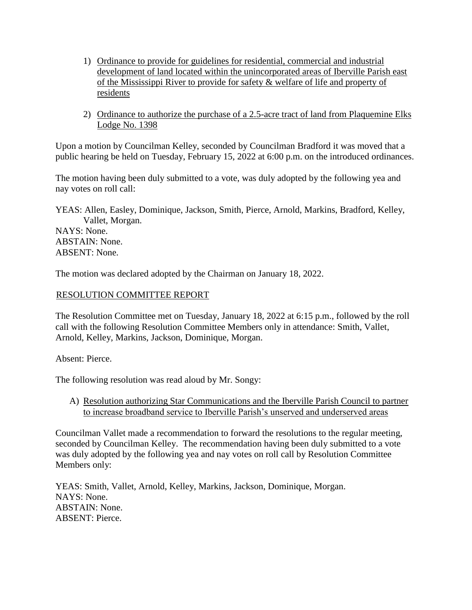- 1) Ordinance to provide for guidelines for residential, commercial and industrial development of land located within the unincorporated areas of Iberville Parish east of the Mississippi River to provide for safety & welfare of life and property of residents
- 2) Ordinance to authorize the purchase of a 2.5-acre tract of land from Plaquemine Elks Lodge No. 1398

Upon a motion by Councilman Kelley, seconded by Councilman Bradford it was moved that a public hearing be held on Tuesday, February 15, 2022 at 6:00 p.m. on the introduced ordinances.

The motion having been duly submitted to a vote, was duly adopted by the following yea and nay votes on roll call:

YEAS: Allen, Easley, Dominique, Jackson, Smith, Pierce, Arnold, Markins, Bradford, Kelley, Vallet, Morgan. NAYS: None. ABSTAIN: None.

ABSENT: None.

The motion was declared adopted by the Chairman on January 18, 2022.

# RESOLUTION COMMITTEE REPORT

The Resolution Committee met on Tuesday, January 18, 2022 at 6:15 p.m., followed by the roll call with the following Resolution Committee Members only in attendance: Smith, Vallet, Arnold, Kelley, Markins, Jackson, Dominique, Morgan.

Absent: Pierce.

The following resolution was read aloud by Mr. Songy:

A) Resolution authorizing Star Communications and the Iberville Parish Council to partner to increase broadband service to Iberville Parish's unserved and underserved areas

Councilman Vallet made a recommendation to forward the resolutions to the regular meeting, seconded by Councilman Kelley. The recommendation having been duly submitted to a vote was duly adopted by the following yea and nay votes on roll call by Resolution Committee Members only:

YEAS: Smith, Vallet, Arnold, Kelley, Markins, Jackson, Dominique, Morgan. NAYS: None. ABSTAIN: None. ABSENT: Pierce.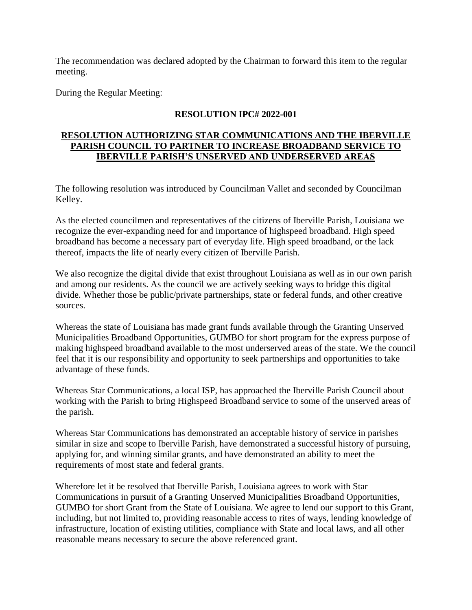The recommendation was declared adopted by the Chairman to forward this item to the regular meeting.

During the Regular Meeting:

# **RESOLUTION IPC# 2022-001**

## **RESOLUTION AUTHORIZING STAR COMMUNICATIONS AND THE IBERVILLE PARISH COUNCIL TO PARTNER TO INCREASE BROADBAND SERVICE TO IBERVILLE PARISH'S UNSERVED AND UNDERSERVED AREAS**

The following resolution was introduced by Councilman Vallet and seconded by Councilman Kelley.

As the elected councilmen and representatives of the citizens of Iberville Parish, Louisiana we recognize the ever-expanding need for and importance of highspeed broadband. High speed broadband has become a necessary part of everyday life. High speed broadband, or the lack thereof, impacts the life of nearly every citizen of Iberville Parish.

We also recognize the digital divide that exist throughout Louisiana as well as in our own parish and among our residents. As the council we are actively seeking ways to bridge this digital divide. Whether those be public/private partnerships, state or federal funds, and other creative sources.

Whereas the state of Louisiana has made grant funds available through the Granting Unserved Municipalities Broadband Opportunities, GUMBO for short program for the express purpose of making highspeed broadband available to the most underserved areas of the state. We the council feel that it is our responsibility and opportunity to seek partnerships and opportunities to take advantage of these funds.

Whereas Star Communications, a local ISP, has approached the Iberville Parish Council about working with the Parish to bring Highspeed Broadband service to some of the unserved areas of the parish.

Whereas Star Communications has demonstrated an acceptable history of service in parishes similar in size and scope to Iberville Parish, have demonstrated a successful history of pursuing, applying for, and winning similar grants, and have demonstrated an ability to meet the requirements of most state and federal grants.

Wherefore let it be resolved that Iberville Parish, Louisiana agrees to work with Star Communications in pursuit of a Granting Unserved Municipalities Broadband Opportunities, GUMBO for short Grant from the State of Louisiana. We agree to lend our support to this Grant, including, but not limited to, providing reasonable access to rites of ways, lending knowledge of infrastructure, location of existing utilities, compliance with State and local laws, and all other reasonable means necessary to secure the above referenced grant.